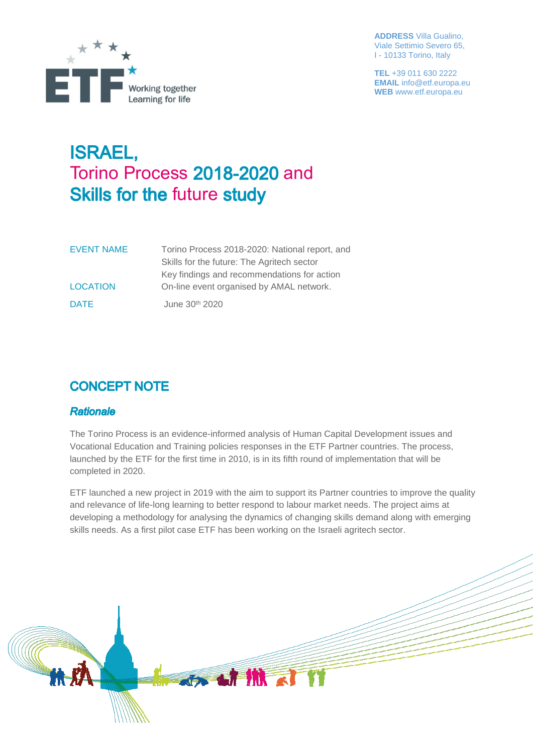

**ADDRESS** Villa Gualino, Viale Settimio Severo 65, I - 10133 Torino, Italy

**TEL** +39 011 630 2222 **EMAIL** info@etf.europa.eu **WEB** www.etf.europa.eu

# **ISRAEL,** Torino Process 2018-2020 and **Skills for the future study**

| EVENT NAME      | Torino Process 2018-2020: National report, and |
|-----------------|------------------------------------------------|
|                 | Skills for the future: The Agritech sector     |
|                 | Key findings and recommendations for action    |
| <b>LOCATION</b> | On-line event organised by AMAL network.       |
| <b>DATE</b>     | June 30 <sup>th</sup> 2020                     |

### **CONCEPT NOTE**

#### **Rationale**

The Torino Process is an evidence-informed analysis of Human Capital Development issues and Vocational Education and Training policies responses in the ETF Partner countries. The process, launched by the ETF for the first time in 2010, is in its fifth round of implementation that will be completed in 2020.

ETF launched a new project in 2019 with the aim to support its Partner countries to improve the quality and relevance of life-long learning to better respond to labour market needs. The project aims at developing a methodology for analysing the dynamics of changing skills demand along with emerging skills needs. As a first pilot case ETF has been working on the Israeli agritech sector.

as of the d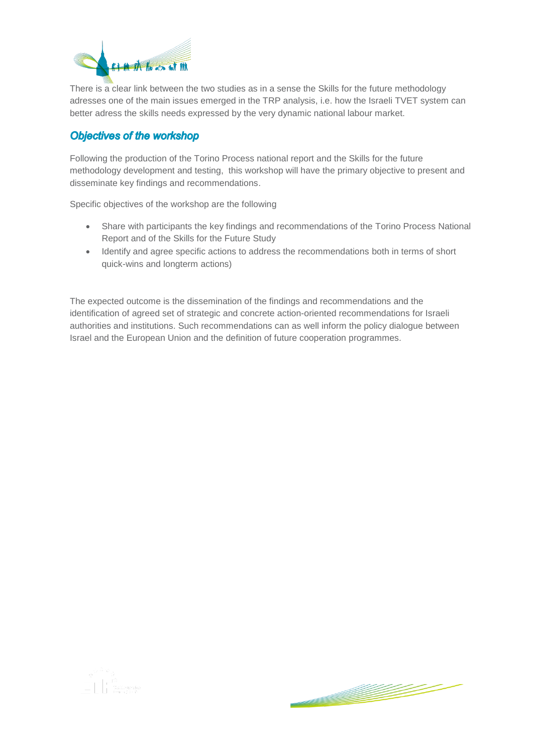

There is a clear link between the two studies as in a sense the Skills for the future methodology adresses one of the main issues emerged in the TRP analysis, i.e. how the Israeli TVET system can better adress the skills needs expressed by the very dynamic national labour market.

#### **Objectives of the workshop**

Following the production of the Torino Process national report and the Skills for the future methodology development and testing, this workshop will have the primary objective to present and disseminate key findings and recommendations.

Specific objectives of the workshop are the following

- Share with participants the key findings and recommendations of the Torino Process National Report and of the Skills for the Future Study
- Identify and agree specific actions to address the recommendations both in terms of short quick-wins and longterm actions)

The expected outcome is the dissemination of the findings and recommendations and the identification of agreed set of strategic and concrete action-oriented recommendations for Israeli authorities and institutions. Such recommendations can as well inform the policy dialogue between Israel and the European Union and the definition of future cooperation programmes.